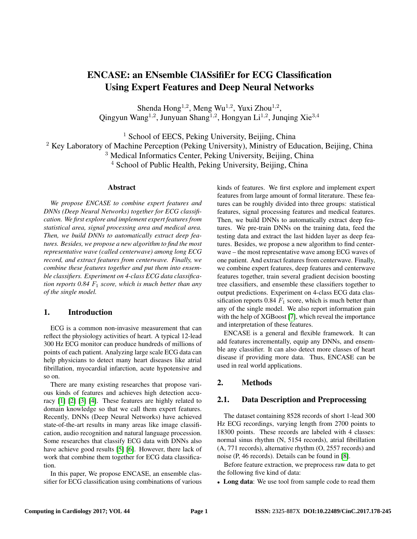# ENCASE: an ENsemble ClASsifiEr for ECG Classification Using Expert Features and Deep Neural Networks

Shenda Hong<sup>1,2</sup>, Meng Wu<sup>1,2</sup>, Yuxi Zhou<sup>1,2</sup>, Qingyun Wang<sup>1,2</sup>, Junyuan Shang<sup>1,2</sup>, Hongyan Li<sup>1,2</sup>, Junqing Xie<sup>3,4</sup>

 $1$  School of EECS, Peking University, Beijing, China

<sup>2</sup> Key Laboratory of Machine Perception (Peking University), Ministry of Education, Beijing, China

<sup>3</sup> Medical Informatics Center, Peking University, Beijing, China

<sup>4</sup> School of Public Health, Peking University, Beijing, China

#### Abstract

*We propose ENCASE to combine expert features and DNNs (Deep Neural Networks) together for ECG classification. We first explore and implement expert features from statistical area, signal processing area and medical area. Then, we build DNNs to automatically extract deep features. Besides, we propose a new algorithm to find the most representative wave (called centerwave) among long ECG record, and extract features from centerwave. Finally, we combine these features together and put them into ensemble classifiers. Experiment on 4-class ECG data classification reports 0.84* F<sup>1</sup> *score, which is much better than any of the single model.*

## 1. Introduction

ECG is a common non-invasive measurement that can reflect the physiology activities of heart. A typical 12-lead 300 Hz ECG monitor can produce hundreds of millions of points of each patient. Analyzing large scale ECG data can help physicians to detect many heart diseases like atrial fibrillation, myocardial infarction, acute hypotensive and so on.

There are many existing researches that propose various kinds of features and achieves high detection accuracy [1] [2] [3] [4]. These features are highly related to domain knowledge so that we call them expert features. Recently, DNNs (Deep Neural Networks) have achieved state-of-the-art results in many areas like image classification, audio recognition and natural language procession. Some researches that classify ECG data with DNNs also have achieve good results [5] [6]. However, there lack of work that combine them together for ECG data classification.

In this paper, We propose ENCASE, an ensemble classifier for ECG classification using combinations of various kinds of features. We first explore and implement expert features from large amount of formal literature. These features can be roughly divided into three groups: statistical features, signal processing features and medical features. Then, we build DNNs to automatically extract deep features. We pre-train DNNs on the training data, feed the testing data and extract the last hidden layer as deep features. Besides, we propose a new algorithm to find centerwave – the most representative wave among ECG waves of one patient. And extract features from centerwave. Finally, we combine expert features, deep features and centerwave features together, train several gradient decision boosting tree classifiers, and ensemble these classifiers together to output predictions. Experiment on 4-class ECG data classification reports 0.84  $F_1$  score, which is much better than any of the single model. We also report information gain with the help of XGBoost [7], which reveal the importance and interpretation of these features.

ENCASE is a general and flexible framework. It can add features incrementally, equip any DNNs, and ensemble any classifier. It can also detect more classes of heart disease if providing more data. Thus, ENCASE can be used in real world applications.

## 2. Methods

#### 2.1. Data Description and Preprocessing

The dataset containing 8528 records of short 1-lead 300 Hz ECG recordings, varying length from 2700 points to 18300 points. These records are labeled with 4 classes: normal sinus rhythm (N, 5154 records), atrial fibrillation (A, 771 records), alternative rhythm (O, 2557 records) and noise (P, 46 records). Details can be found in [8].

Before feature extraction, we preprocess raw data to get the following five kind of data:

• Long data: We use tool from sample code to read them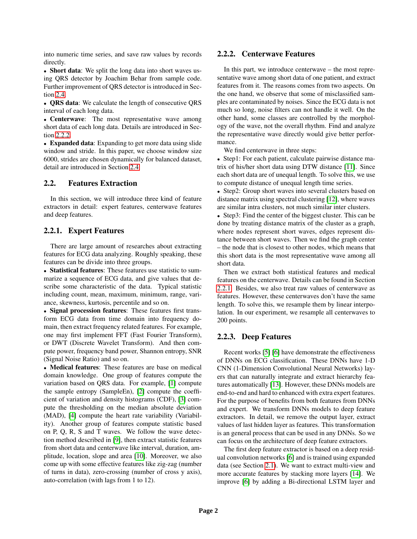into numeric time series, and save raw values by records directly.

• Short data: We split the long data into short waves using QRS detector by Joachim Behar from sample code. Further improvement of QRS detector is introduced in Section 2.4.

• QRS data: We calculate the length of consecutive QRS interval of each long data.

• Centerwave: The most representative wave among short data of each long data. Details are introduced in Section 2.2.2.

• Expanded data: Expanding to get more data using slide window and stride. In this paper, we choose window size 6000, strides are chosen dynamically for balanced dataset, detail are introduced in Section 2.4.

## 2.2. Features Extraction

In this section, we will introduce three kind of feature extractors in detail: expert features, centerwave features and deep features.

## 2.2.1. Expert Features

There are large amount of researches about extracting features for ECG data analyzing. Roughly speaking, these features can be divide into three groups.

• Statistical features: These features use statistic to summarize a sequence of ECG data, and give values that describe some characteristic of the data. Typical statistic including count, mean, maximum, minimum, range, variance, skewness, kurtosis, percentile and so on.

• Signal procession features: These features first transform ECG data from time domain into frequency domain, then extract frequency related features. For example, one may first implement FFT (Fast Fourier Transform), or DWT (Discrete Wavelet Transform). And then compute power, frequency band power, Shannon entropy, SNR (Signal Noise Ratio) and so on.

• Medical features: These features are base on medical domain knowledge. One group of features compute the variation based on QRS data. For example, [1] compute the sample entropy (SampleEn), [2] compute the coefficient of variation and density histograms (CDF), [3] compute the thresholding on the median absolute deviation (MAD), [4] compute the heart rate variability (Variability). Another group of features compute statistic based on P, Q, R, S and T waves. We follow the wave detection method described in [9], then extract statistic features from short data and centerwave like interval, duration, amplitude, location, slope and area [10]. Moreover, we also come up with some effective features like zig-zag (number of turns in data), zero-crossing (number of cross y axis), auto-correlation (with lags from 1 to 12).

## 2.2.2. Centerwave Features

In this part, we introduce centerwave – the most representative wave among short data of one patient, and extract features from it. The reasons comes from two aspects. On the one hand, we observe that some of misclassified samples are contaminated by noises. Since the ECG data is not much so long, noise filters can not handle it well. On the other hand, some classes are controlled by the morphology of the wave, not the overall rhythm. Find and analyze the representative wave directly would give better performance.

We find centerwave in three steps:

• Step1: For each patient, calculate pairwise distance matrix of his/her short data using DTW distance [11]. Since each short data are of unequal length. To solve this, we use to compute distance of unequal length time series.

• Step2: Group short waves into several clusters based on distance matrix using spectral clustering [12], where waves are similar intra clusters, not much similar inter clusters.

• Step3: Find the center of the biggest cluster. This can be done by treating distance matrix of the cluster as a graph, where nodes represent short waves, edges represent distance between short waves. Then we find the graph center – the node that is closest to other nodes, which means that this short data is the most representative wave among all short data.

Then we extract both statistical features and medical features on the centerwave. Details can be found in Section 2.2.1. Besides, we also treat raw values of centerwave as features. However, these centerwaves don't have the same length. To solve this, we resample them by linear interpolation. In our experiment, we resample all centerwaves to 200 points.

# 2.2.3. Deep Features

Recent works [5] [6] have demonstrate the effectiveness of DNNs on ECG classification. These DNNs have 1-D CNN (1-Dimension Convolutional Neural Networks) layers that can naturally integrate and extract hierarchy features automatically [13]. However, these DNNs models are end-to-end and hard to enhanced with extra expert features. For the purpose of benefits from both features from DNNs and expert. We transform DNNs models to deep feature extractors. In detail, we remove the output layer, extract values of last hidden layer as features. This transformation is an general process that can be used in any DNNs. So we can focus on the architecture of deep feature extractors.

The first deep feature extractor is based on a deep residual convolution networks [6] and is trained using expanded data (see Section 2.1). We want to extract multi-view and more accurate features by stacking more layers [14]. We improve [6] by adding a Bi-directional LSTM layer and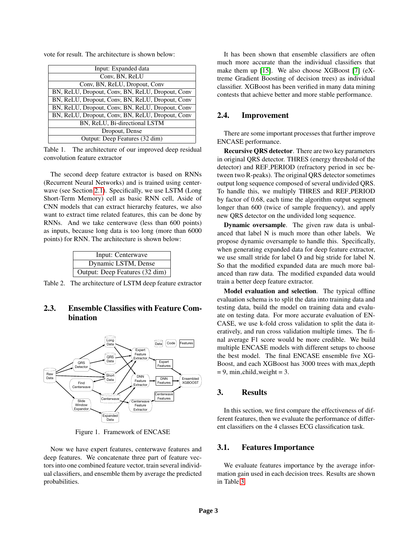vote for result. The architecture is shown below:

| Input: Expanded data                             |
|--------------------------------------------------|
| Conv, BN, ReLU                                   |
| Conv, BN, ReLU, Dropout, Conv                    |
| BN, ReLU, Dropout, Conv, BN, ReLU, Dropout, Conv |
| BN, ReLU, Dropout, Conv, BN, ReLU, Dropout, Conv |
| BN, ReLU, Dropout, Conv, BN, ReLU, Dropout, Conv |
| BN, ReLU, Dropout, Conv, BN, ReLU, Dropout, Conv |
| BN, ReLU, Bi-directional LSTM                    |
| Dropout, Dense                                   |
| Output: Deep Features (32 dim)                   |

Table 1. The architecture of our improved deep residual convolution feature extractor

The second deep feature extractor is based on RNNs (Recurrent Neural Networks) and is trained using centerwave (see Section 2.1). Specifically, we use LSTM (Long Short-Term Memory) cell as basic RNN cell, Aside of CNN models that can extract hierarchy features, we also want to extract time related features, this can be done by RNNs. And we take centerwave (less than 600 points) as inputs, because long data is too long (more than 6000 points) for RNN. The architecture is shown below:

| Input: Centerwave              |
|--------------------------------|
| Dynamic LSTM, Dense            |
| Output: Deep Features (32 dim) |

Table 2. The architecture of LSTM deep feature extractor

# 2.3. Ensemble Classifies with Feature Combination



Figure 1. Framework of ENCASE

Now we have expert features, centerwave features and deep features. We concatenate three part of feature vectors into one combined feature vector, train several individual classifiers, and ensemble them by average the predicted probabilities.

It has been shown that ensemble classifiers are often much more accurate than the individual classifiers that make them up [15]. We also choose XGBoost [7] (eXtreme Gradient Boosting of decision trees) as individual classifier. XGBoost has been verified in many data mining contests that achieve better and more stable performance.

## 2.4. Improvement

There are some important processes that further improve ENCASE performance.

Recursive QRS detector. There are two key parameters in original QRS detector. THRES (energy threshold of the detector) and REF PERIOD (refractory period in sec between two R-peaks). The original QRS detector sometimes output long sequence composed of several undivided QRS. To handle this, we multiply THRES and REF PERIOD by factor of 0.68, each time the algorithm output segment longer than 600 (twice of sample frequency), and apply new QRS detector on the undivided long sequence.

Dynamic oversample. The given raw data is unbalanced that label N is much more than other labels. We propose dynamic oversample to handle this. Specifically, when generating expanded data for deep feature extractor, we use small stride for label O and big stride for label N. So that the modified expanded data are much more balanced than raw data. The modified expanded data would train a better deep feature extractor.

Model evaluation and selection. The typical offline evaluation schema is to split the data into training data and testing data, build the model on training data and evaluate on testing data. For more accurate evaluation of EN-CASE, we use k-fold cross validation to split the data iteratively, and run cross validation multiple times. The final average F1 score would be more credible. We build multiple ENCASE models with different setups to choose the best model. The final ENCASE ensemble five XG-Boost, and each XGBoost has 3000 trees with max depth  $= 9$ , min child weight  $= 3$ .

# 3. Results

In this section, we first compare the effectiveness of different features, then we evaluate the performance of different classifiers on the 4 classes ECG classification task.

## 3.1. Features Importance

We evaluate features importance by the average information gain used in each decision trees. Results are shown in Table 3.